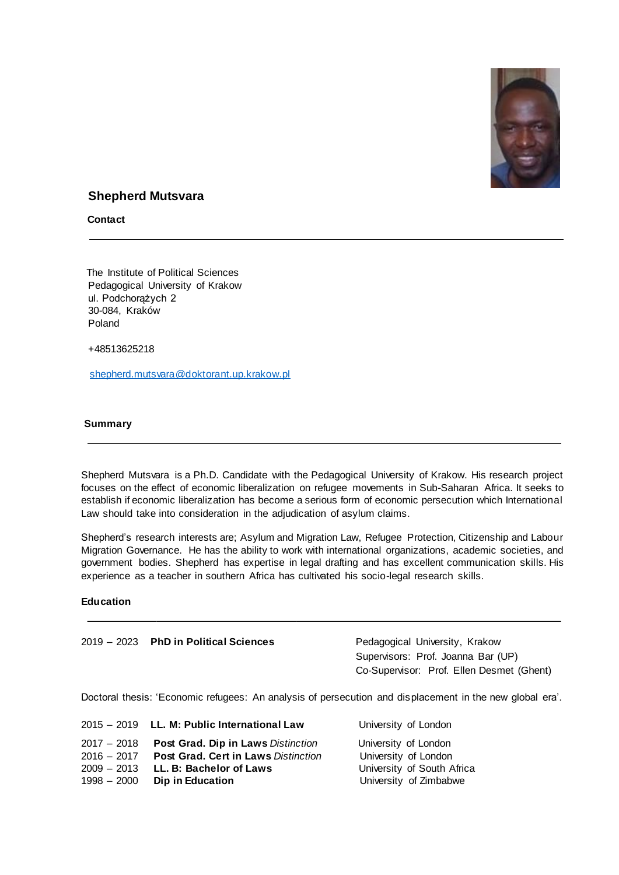

# **Shepherd Mutsvara**

**Contact** 

 The Institute of Political Sciences Pedagogical University of Krakow ul. Podchorążych 2 30-084, Kraków Poland

+48513625218

[shepherd.mutsvara@doktorant.up.krakow.pl](mailto:shepherd.mutsvara@doktorant.up.krakow.pl)

#### **Summary**

Shepherd Mutsvara is a Ph.D. Candidate with the Pedagogical University of Krakow. His research project focuses on the effect of economic liberalization on refugee movements in Sub-Saharan Africa. It seeks to establish if economic liberalization has become a serious form of economic persecution which International Law should take into consideration in the adjudication of asylum claims.

Shepherd's research interests are; Asylum and Migration Law, Refugee Protection, Citizenship and Labour Migration Governance. He has the ability to work with international organizations, academic societies, and government bodies. Shepherd has expertise in legal drafting and has excellent communication skills. His experience as a teacher in southern Africa has cultivated his socio-legal research skills.

## **Education**

| 2019 – 2023 <b>PhD in Political Sciences</b> | Pedagogical University, Krakow     |
|----------------------------------------------|------------------------------------|
|                                              | Supervisors: Prof. Joanna Bar (UP) |

Doctoral thesis: 'Economic refugees: An analysis of persecution and displacement in the new global era'.

Co-Supervisor: Prof. Ellen Desmet (Ghent)

|               | 2015 - 2019 LL. M: Public International Law | University of London       |
|---------------|---------------------------------------------|----------------------------|
| $2017 - 2018$ | Post Grad. Dip in Laws Distinction          | University of London       |
| $2016 - 2017$ | <b>Post Grad. Cert in Laws Distinction</b>  | University of London       |
| $2009 - 2013$ | LL. B: Bachelor of Laws                     | University of South Africa |
| $1998 - 2000$ | Dip in Education                            | University of Zimbabwe     |